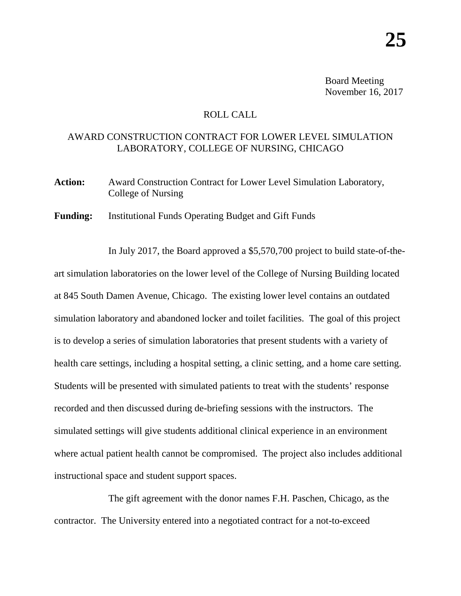Board Meeting November 16, 2017

## ROLL CALL

## AWARD CONSTRUCTION CONTRACT FOR LOWER LEVEL SIMULATION LABORATORY, COLLEGE OF NURSING, CHICAGO

Action: Award Construction Contract for Lower Level Simulation Laboratory, College of Nursing

**Funding:** Institutional Funds Operating Budget and Gift Funds

In July 2017, the Board approved a \$5,570,700 project to build state-of-theart simulation laboratories on the lower level of the College of Nursing Building located at 845 South Damen Avenue, Chicago. The existing lower level contains an outdated simulation laboratory and abandoned locker and toilet facilities. The goal of this project is to develop a series of simulation laboratories that present students with a variety of health care settings, including a hospital setting, a clinic setting, and a home care setting. Students will be presented with simulated patients to treat with the students' response recorded and then discussed during de-briefing sessions with the instructors. The simulated settings will give students additional clinical experience in an environment where actual patient health cannot be compromised. The project also includes additional instructional space and student support spaces.

The gift agreement with the donor names F.H. Paschen, Chicago, as the contractor. The University entered into a negotiated contract for a not-to-exceed